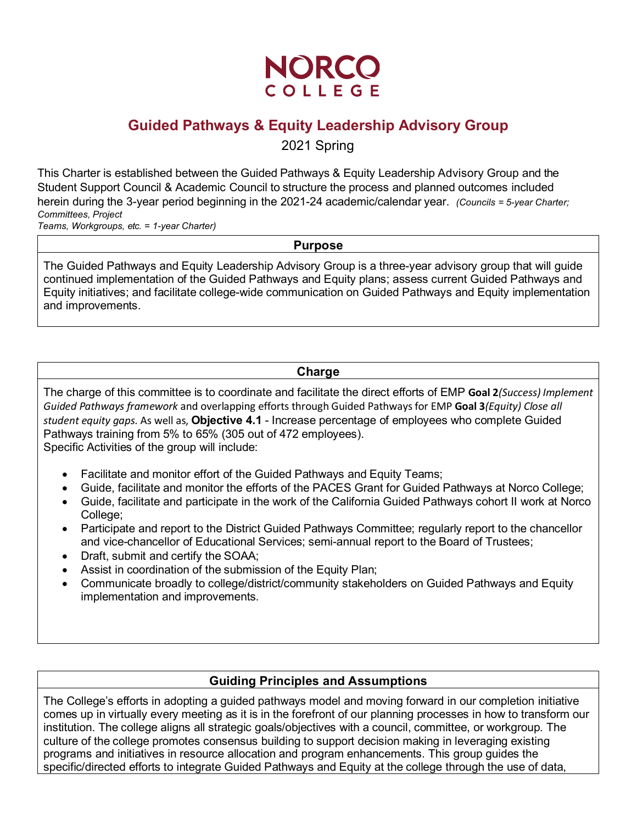

# **Guided Pathways & Equity Leadership Advisory Group** 2021 Spring

This Charter is established between the Guided Pathways & Equity Leadership Advisory Group and the Student Support Council & Academic Council to structure the process and planned outcomes included herein during the 3-year period beginning in the 2021-24 academic/calendar year. *(Councils = 5-year Charter; Committees, Project*

*Teams, Workgroups, etc. = 1-year Charter)* 

#### **Purpose**

The Guided Pathways and Equity Leadership Advisory Group is a three-year advisory group that will guide continued implementation of the Guided Pathways and Equity plans; assess current Guided Pathways and Equity initiatives; and facilitate college-wide communication on Guided Pathways and Equity implementation and improvements.

## **Charge**

The charge of this committee is to coordinate and facilitate the direct efforts of EMP **Goal 2***(Success) Implement Guided Pathways framework* and overlapping efforts through Guided Pathways for EMP **Goal 3***(Equity) Close all student equity gaps.* As well as, **Objective 4.1** - Increase percentage of employees who complete Guided Pathways training from 5% to 65% (305 out of 472 employees). Specific Activities of the group will include:

- Facilitate and monitor effort of the Guided Pathways and Equity Teams;
- Guide, facilitate and monitor the efforts of the PACES Grant for Guided Pathways at Norco College;
- Guide, facilitate and participate in the work of the California Guided Pathways cohort II work at Norco College;
- Participate and report to the District Guided Pathways Committee; regularly report to the chancellor and vice-chancellor of Educational Services; semi-annual report to the Board of Trustees;
- Draft, submit and certify the SOAA;
- Assist in coordination of the submission of the Equity Plan;
- Communicate broadly to college/district/community stakeholders on Guided Pathways and Equity implementation and improvements.

## **Guiding Principles and Assumptions**

The College's efforts in adopting a guided pathways model and moving forward in our completion initiative comes up in virtually every meeting as it is in the forefront of our planning processes in how to transform our institution. The college aligns all strategic goals/objectives with a council, committee, or workgroup. The culture of the college promotes consensus building to support decision making in leveraging existing programs and initiatives in resource allocation and program enhancements. This group guides the specific/directed efforts to integrate Guided Pathways and Equity at the college through the use of data,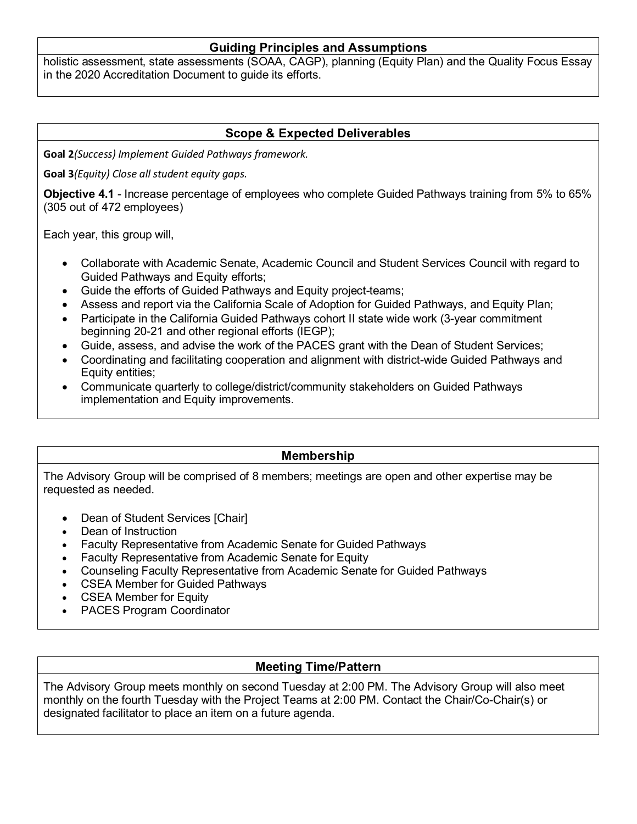# **Guiding Principles and Assumptions**

holistic assessment, state assessments (SOAA, CAGP), planning (Equity Plan) and the Quality Focus Essay in the 2020 Accreditation Document to guide its efforts.

# **Scope & Expected Deliverables**

**Goal 2***(Success) Implement Guided Pathways framework.*

**Goal 3***(Equity) Close all student equity gaps.*

**Objective 4.1** - Increase percentage of employees who complete Guided Pathways training from 5% to 65% (305 out of 472 employees)

Each year, this group will,

- Collaborate with Academic Senate, Academic Council and Student Services Council with regard to Guided Pathways and Equity efforts;
- Guide the efforts of Guided Pathways and Equity project-teams;
- Assess and report via the California Scale of Adoption for Guided Pathways, and Equity Plan;
- Participate in the California Guided Pathways cohort II state wide work (3-year commitment beginning 20-21 and other regional efforts (IEGP);
- Guide, assess, and advise the work of the PACES grant with the Dean of Student Services;
- Coordinating and facilitating cooperation and alignment with district-wide Guided Pathways and Equity entities;
- Communicate quarterly to college/district/community stakeholders on Guided Pathways implementation and Equity improvements.

## **Membership**

The Advisory Group will be comprised of 8 members; meetings are open and other expertise may be requested as needed.

- Dean of Student Services [Chair]
- Dean of Instruction
- Faculty Representative from Academic Senate for Guided Pathways
- Faculty Representative from Academic Senate for Equity
- Counseling Faculty Representative from Academic Senate for Guided Pathways
- CSEA Member for Guided Pathways
- CSEA Member for Equity
- PACES Program Coordinator

# **Meeting Time/Pattern**

The Advisory Group meets monthly on second Tuesday at 2:00 PM. The Advisory Group will also meet monthly on the fourth Tuesday with the Project Teams at 2:00 PM. Contact the Chair/Co-Chair(s) or designated facilitator to place an item on a future agenda.